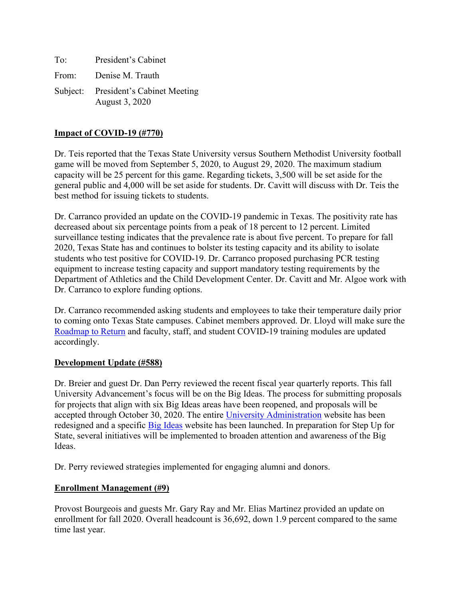To: President's Cabinet From: Denise M. Trauth Subject: President's Cabinet Meeting August 3, 2020

# **Impact of COVID-19 (#770)**

Dr. Teis reported that the Texas State University versus Southern Methodist University football game will be moved from September 5, 2020, to August 29, 2020. The maximum stadium capacity will be 25 percent for this game. Regarding tickets, 3,500 will be set aside for the general public and 4,000 will be set aside for students. Dr. Cavitt will discuss with Dr. Teis the best method for issuing tickets to students.

Dr. Carranco provided an update on the COVID-19 pandemic in Texas. The positivity rate has decreased about six percentage points from a peak of 18 percent to 12 percent. Limited surveillance testing indicates that the prevalence rate is about five percent. To prepare for fall 2020, Texas State has and continues to bolster its testing capacity and its ability to isolate students who test positive for COVID-19. Dr. Carranco proposed purchasing PCR testing equipment to increase testing capacity and support mandatory testing requirements by the Department of Athletics and the Child Development Center. Dr. Cavitt and Mr. Algoe work with Dr. Carranco to explore funding options.

Dr. Carranco recommended asking students and employees to take their temperature daily prior to coming onto Texas State campuses. Cabinet members approved. Dr. Lloyd will make sure the [Roadmap to Return](https://www.txstate.edu/coronavirus/road-map.html) and faculty, staff, and student COVID-19 training modules are updated accordingly.

# **Development Update (#588)**

Dr. Breier and guest Dr. Dan Perry reviewed the recent fiscal year quarterly reports. This fall University Advancement's focus will be on the Big Ideas. The process for submitting proposals for projects that align with six Big Ideas areas have been reopened, and proposals will be accepted through October 30, 2020. The entire [University Administration](https://www.ua.txstate.edu/big-ideas.html) website has been redesigned and a specific [Big Ideas](https://www.ua.txstate.edu/big-ideas.html) website has been launched. In preparation for Step Up for State, several initiatives will be implemented to broaden attention and awareness of the Big Ideas.

Dr. Perry reviewed strategies implemented for engaging alumni and donors.

# **Enrollment Management (#9)**

Provost Bourgeois and guests Mr. Gary Ray and Mr. Elias Martinez provided an update on enrollment for fall 2020. Overall headcount is 36,692, down 1.9 percent compared to the same time last year.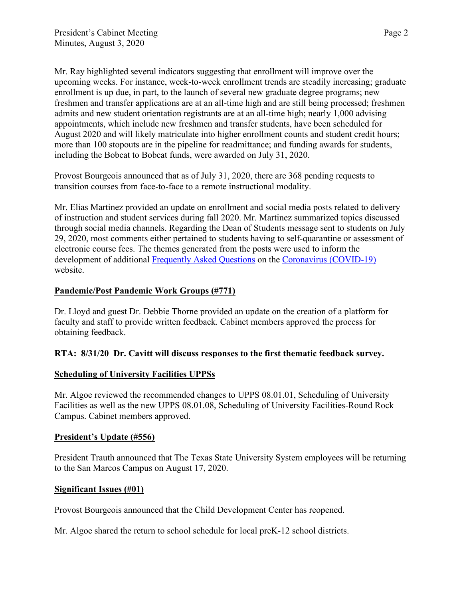Mr. Ray highlighted several indicators suggesting that enrollment will improve over the upcoming weeks. For instance, week-to-week enrollment trends are steadily increasing; graduate enrollment is up due, in part, to the launch of several new graduate degree programs; new freshmen and transfer applications are at an all-time high and are still being processed; freshmen admits and new student orientation registrants are at an all-time high; nearly 1,000 advising appointments, which include new freshmen and transfer students, have been scheduled for August 2020 and will likely matriculate into higher enrollment counts and student credit hours; more than 100 stopouts are in the pipeline for readmittance; and funding awards for students, including the Bobcat to Bobcat funds, were awarded on July 31, 2020.

Provost Bourgeois announced that as of July 31, 2020, there are 368 pending requests to transition courses from face-to-face to a remote instructional modality.

Mr. Elias Martinez provided an update on enrollment and social media posts related to delivery of instruction and student services during fall 2020. Mr. Martinez summarized topics discussed through social media channels. Regarding the Dean of Students message sent to students on July 29, 2020, most comments either pertained to students having to self-quarantine or assessment of electronic course fees. The themes generated from the posts were used to inform the development of additional [Frequently Asked Questions](https://www.txstate.edu/coronavirus/frequently-asked-questions.html) on the [Coronavirus \(COVID-19\)](https://www.txstate.edu/coronavirus/frequently-asked-questions.html) website.

# **Pandemic/Post Pandemic Work Groups (#771)**

Dr. Lloyd and guest Dr. Debbie Thorne provided an update on the creation of a platform for faculty and staff to provide written feedback. Cabinet members approved the process for obtaining feedback.

# **RTA: 8/31/20 Dr. Cavitt will discuss responses to the first thematic feedback survey.**

# **Scheduling of University Facilities UPPSs**

Mr. Algoe reviewed the recommended changes to UPPS 08.01.01, Scheduling of University Facilities as well as the new UPPS 08.01.08, Scheduling of University Facilities-Round Rock Campus. Cabinet members approved.

## **President's Update (#556)**

President Trauth announced that The Texas State University System employees will be returning to the San Marcos Campus on August 17, 2020.

# **Significant Issues (#01)**

Provost Bourgeois announced that the Child Development Center has reopened.

Mr. Algoe shared the return to school schedule for local preK-12 school districts.